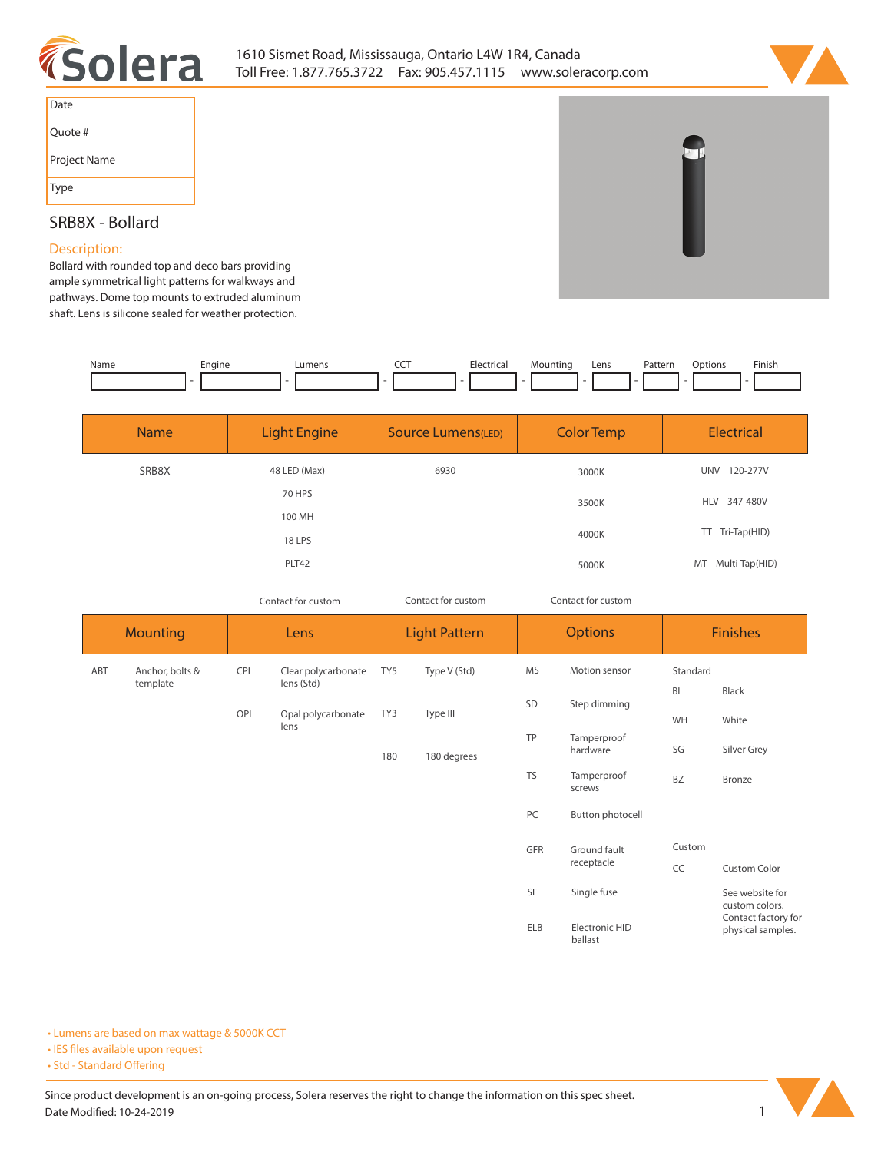



| Date         |
|--------------|
| Quote #      |
| Project Name |
| Type         |

## **SRB8X - Bollard**

## **Description:**

**Bollard with rounded top and deco bars providing ample symmetrical light patterns for walkways and pathways. Dome top mounts to extruded aluminum shaft. Lens is silicone sealed for weather protection.**

| Name | Engine | _umens | --- | Electrical | Mountinc | Lens | Pattern | Dotions | Finish |
|------|--------|--------|-----|------------|----------|------|---------|---------|--------|
|      |        |        |     |            |          |      |         |         |        |

| <b>Name</b> | <b>Light Engine</b> | <b>Source Lumens(LED)</b> | <b>Color Temp</b> | <b>Electrical</b>      |
|-------------|---------------------|---------------------------|-------------------|------------------------|
| SRB8X       | 48 LED (Max)        | 6930                      | 3000K             | <b>UNV</b><br>120-277V |
|             | <b>70 HPS</b>       |                           | 3500K             | HLV 347-480V           |
|             | 100 MH              |                           |                   |                        |
|             | 18 LPS              |                           | 4000K             | TT Tri-Tap(HID)        |
|             | PLT42               |                           | 5000K             | Multi-Tap(HID)<br>MT   |

*Contact for custom Contact for custom*

*Contact for custom*

| <b>Mounting</b> |                          |                                                                | Lens                    | <b>Light Pattern</b> | <b>Options</b>            |                       |                                          | <b>Finishes</b>                   |
|-----------------|--------------------------|----------------------------------------------------------------|-------------------------|----------------------|---------------------------|-----------------------|------------------------------------------|-----------------------------------|
| ABT             | Anchor, bolts &          | <b>MS</b><br>CPL<br>Clear polycarbonate<br>Type V (Std)<br>TY5 |                         | Motion sensor        | Standard                  |                       |                                          |                                   |
|                 | template                 |                                                                | lens (Std)              |                      | SD                        | Step dimming          | <b>BL</b>                                | Black                             |
|                 |                          | TY3<br>Type III<br>OPL<br>Opal polycarbonate<br>lens           |                         | WH                   | White                     |                       |                                          |                                   |
|                 | TP<br>180 degrees<br>180 |                                                                | Tamperproof<br>hardware | SG                   | Silver Grey               |                       |                                          |                                   |
|                 |                          |                                                                |                         |                      | <b>TS</b>                 | Tamperproof<br>screws | <b>BZ</b>                                | Bronze                            |
|                 |                          |                                                                |                         |                      | PC                        | Button photocell      |                                          |                                   |
|                 |                          |                                                                |                         |                      | <b>GFR</b>                | Ground fault          | Custom                                   |                                   |
|                 |                          |                                                                |                         |                      | receptacle                |                       | CC                                       | Custom Color                      |
|                 |                          |                                                                |                         |                      | SF                        | Single fuse           |                                          | See website for<br>custom colors. |
|                 |                          |                                                                |                         | <b>ELB</b>           | Electronic HID<br>ballast |                       | Contact factory for<br>physical samples. |                                   |

**• Lumens are based on max wattage & 5000K CCT**

**• IES files available upon request** 

• Std - Standard Offering

Since product development is an on-going process, Solera reserves the right to change the information on this spec sheet. **Date Modified: 10-24-2019** 1